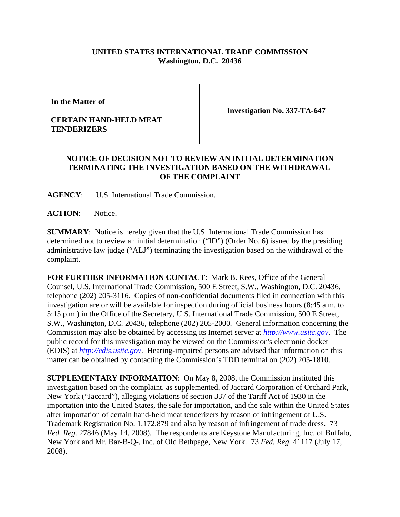## **UNITED STATES INTERNATIONAL TRADE COMMISSION Washington, D.C. 20436**

**In the Matter of** 

## **CERTAIN HAND-HELD MEAT TENDERIZERS**

**Investigation No. 337-TA-647**

## **NOTICE OF DECISION NOT TO REVIEW AN INITIAL DETERMINATION TERMINATING THE INVESTIGATION BASED ON THE WITHDRAWAL OF THE COMPLAINT**

**AGENCY**: U.S. International Trade Commission.

**ACTION**: Notice.

**SUMMARY**: Notice is hereby given that the U.S. International Trade Commission has determined not to review an initial determination ("ID") (Order No. 6) issued by the presiding administrative law judge ("ALJ") terminating the investigation based on the withdrawal of the complaint.

**FOR FURTHER INFORMATION CONTACT**: Mark B. Rees, Office of the General Counsel, U.S. International Trade Commission, 500 E Street, S.W., Washington, D.C. 20436, telephone (202) 205-3116. Copies of non-confidential documents filed in connection with this investigation are or will be available for inspection during official business hours (8:45 a.m. to 5:15 p.m.) in the Office of the Secretary, U.S. International Trade Commission, 500 E Street, S.W., Washington, D.C. 20436, telephone (202) 205-2000. General information concerning the Commission may also be obtained by accessing its Internet server at *http://www.usitc.gov*. The public record for this investigation may be viewed on the Commission's electronic docket (EDIS) at *http://edis.usitc.gov*. Hearing-impaired persons are advised that information on this matter can be obtained by contacting the Commission's TDD terminal on (202) 205-1810.

**SUPPLEMENTARY INFORMATION**: On May 8, 2008, the Commission instituted this investigation based on the complaint, as supplemented, of Jaccard Corporation of Orchard Park, New York ("Jaccard"), alleging violations of section 337 of the Tariff Act of 1930 in the importation into the United States, the sale for importation, and the sale within the United States after importation of certain hand-held meat tenderizers by reason of infringement of U.S. Trademark Registration No. 1,172,879 and also by reason of infringement of trade dress. 73 *Fed. Reg.* 27846 (May 14, 2008). The respondents are Keystone Manufacturing, Inc. of Buffalo, New York and Mr. Bar-B-Q-, Inc. of Old Bethpage, New York. 73 *Fed. Reg.* 41117 (July 17, 2008).